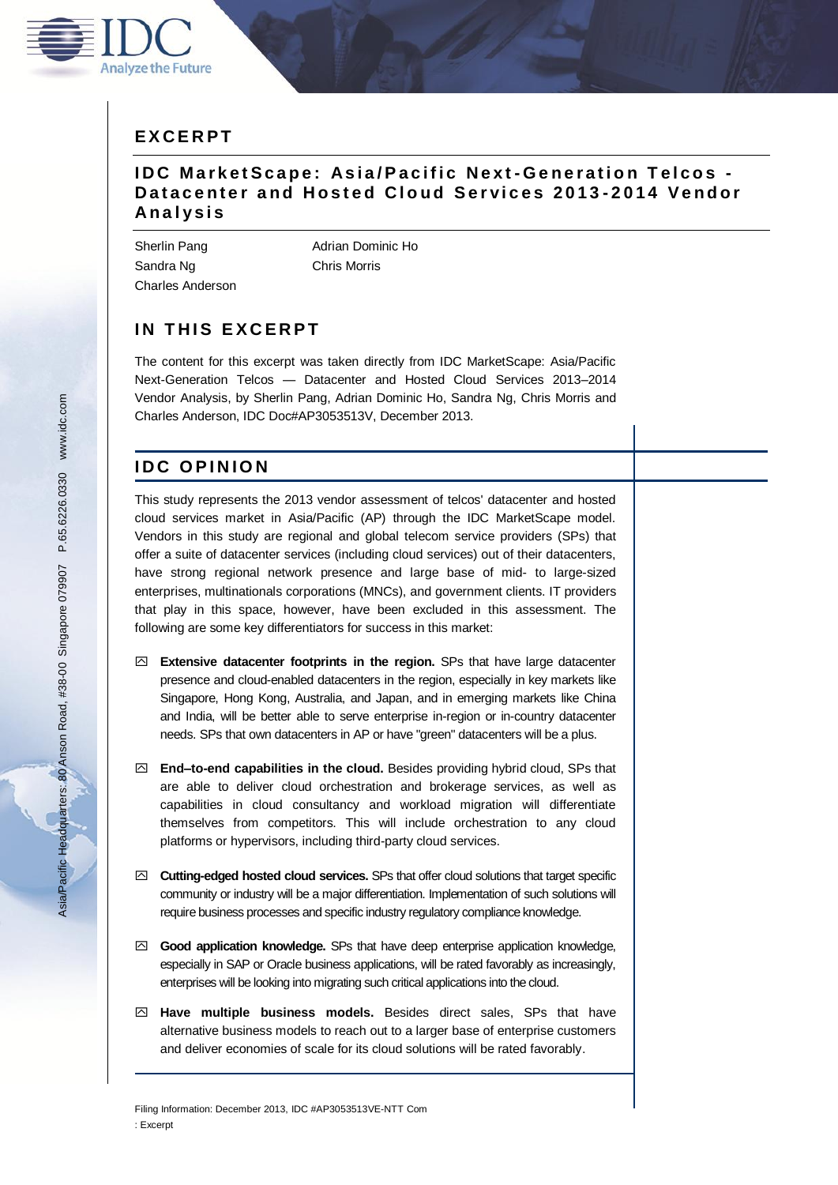

## **IDC MarketScape: Asia/Pacific Next-Generation Telcos -Datacenter and Hosted Cloud Services 2013-2014 Vendor A n a l y s i s**

Sandra Ng **Chris Morris** Charles Anderson

Sherlin Pang **Adrian Dominic Ho** 

# **IN THIS EXCERPT**

The content for this excerpt was taken directly from IDC MarketScape: Asia/Pacific Next-Generation Telcos — Datacenter and Hosted Cloud Services 2013–2014 Vendor Analysis, by Sherlin Pang, Adrian Dominic Ho, Sandra Ng, Chris Morris and Charles Anderson, IDC Doc#AP3053513V, December 2013.

# **I D C O P I N I O N**

This study represents the 2013 vendor assessment of telcos' datacenter and hosted cloud services market in Asia/Pacific (AP) through the IDC MarketScape model. Vendors in this study are regional and global telecom service providers (SPs) that offer a suite of datacenter services (including cloud services) out of their datacenters, have strong regional network presence and large base of mid- to large-sized enterprises, multinationals corporations (MNCs), and government clients. IT providers that play in this space, however, have been excluded in this assessment. The following are some key differentiators for success in this market:

- **Extensive datacenter footprints in the region.** SPs that have large datacenter presence and cloud-enabled datacenters in the region, especially in key markets like Singapore, Hong Kong, Australia, and Japan, and in emerging markets like China and India, will be better able to serve enterprise in-region or in-country datacenter needs. SPs that own datacenters in AP or have "green" datacenters will be a plus.
- **End–to-end capabilities in the cloud.** Besides providing hybrid cloud, SPs that are able to deliver cloud orchestration and brokerage services, as well as capabilities in cloud consultancy and workload migration will differentiate themselves from competitors. This will include orchestration to any cloud platforms or hypervisors, including third-party cloud services.
- **Cutting-edged hosted cloud services.** SPs that offer cloud solutions that target specific community or industry will be a major differentiation. Implementation of such solutions will require business processes and specific industry regulatory compliance knowledge.
- **Good application knowledge.** SPs that have deep enterprise application knowledge, especially in SAP or Oracle business applications, will be rated favorably as increasingly, enterprises will be looking into migrating such critical applications into the cloud.
- **Have multiple business models.** Besides direct sales, SPs that have alternative business models to reach out to a larger base of enterprise customers and deliver economies of scale for its cloud solutions will be rated favorably.

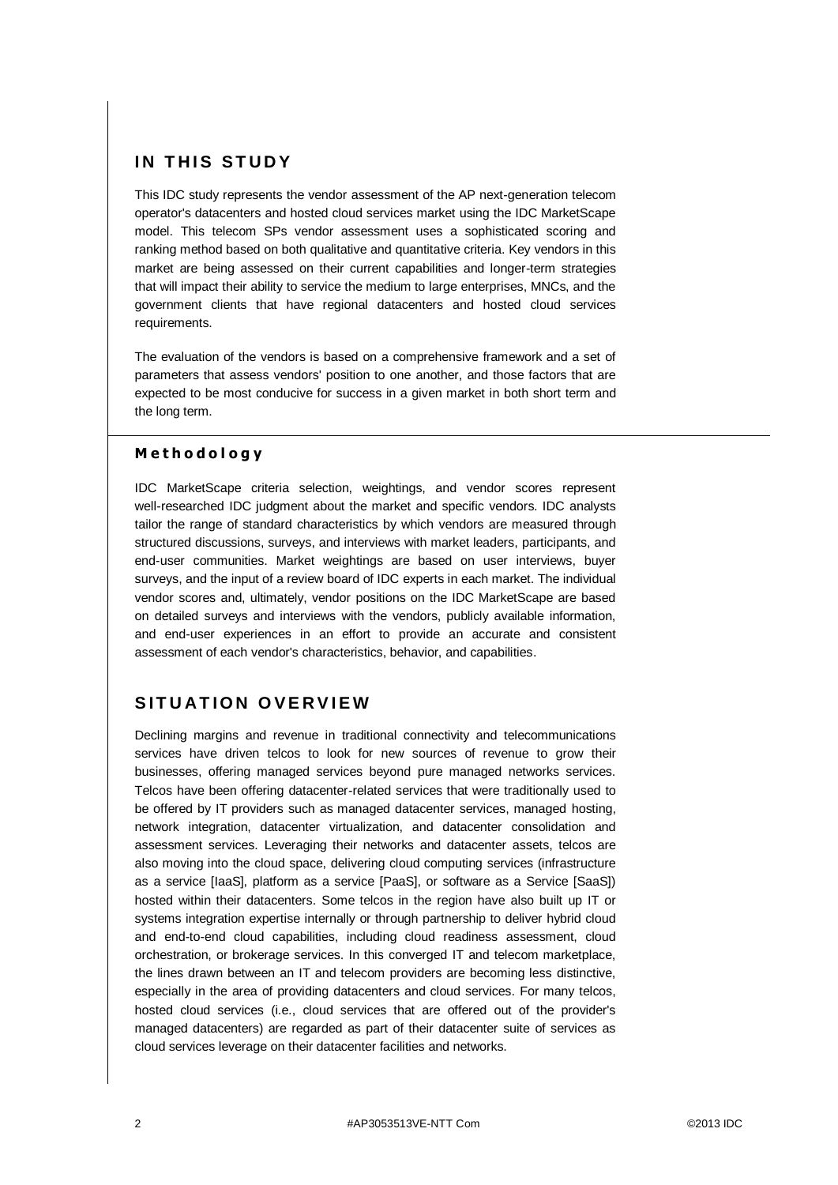## **IN THIS STUDY**

This IDC study represents the vendor assessment of the AP next-generation telecom operator's datacenters and hosted cloud services market using the IDC MarketScape model. This telecom SPs vendor assessment uses a sophisticated scoring and ranking method based on both qualitative and quantitative criteria. Key vendors in this market are being assessed on their current capabilities and longer-term strategies that will impact their ability to service the medium to large enterprises, MNCs, and the government clients that have regional datacenters and hosted cloud services requirements.

The evaluation of the vendors is based on a comprehensive framework and a set of parameters that assess vendors' position to one another, and those factors that are expected to be most conducive for success in a given market in both short term and the long term.

### **M e t h o d o l o g y**

IDC MarketScape criteria selection, weightings, and vendor scores represent well-researched IDC judgment about the market and specific vendors. IDC analysts tailor the range of standard characteristics by which vendors are measured through structured discussions, surveys, and interviews with market leaders, participants, and end-user communities. Market weightings are based on user interviews, buyer surveys, and the input of a review board of IDC experts in each market. The individual vendor scores and, ultimately, vendor positions on the IDC MarketScape are based on detailed surveys and interviews with the vendors, publicly available information, and end-user experiences in an effort to provide an accurate and consistent assessment of each vendor's characteristics, behavior, and capabilities.

# **SITUATION OVERVIEW**

Declining margins and revenue in traditional connectivity and telecommunications services have driven telcos to look for new sources of revenue to grow their businesses, offering managed services beyond pure managed networks services. Telcos have been offering datacenter-related services that were traditionally used to be offered by IT providers such as managed datacenter services, managed hosting, network integration, datacenter virtualization, and datacenter consolidation and assessment services. Leveraging their networks and datacenter assets, telcos are also moving into the cloud space, delivering cloud computing services (infrastructure as a service [IaaS], platform as a service [PaaS], or software as a Service [SaaS]) hosted within their datacenters. Some telcos in the region have also built up IT or systems integration expertise internally or through partnership to deliver hybrid cloud and end-to-end cloud capabilities, including cloud readiness assessment, cloud orchestration, or brokerage services. In this converged IT and telecom marketplace, the lines drawn between an IT and telecom providers are becoming less distinctive, especially in the area of providing datacenters and cloud services. For many telcos, hosted cloud services (i.e., cloud services that are offered out of the provider's managed datacenters) are regarded as part of their datacenter suite of services as cloud services leverage on their datacenter facilities and networks.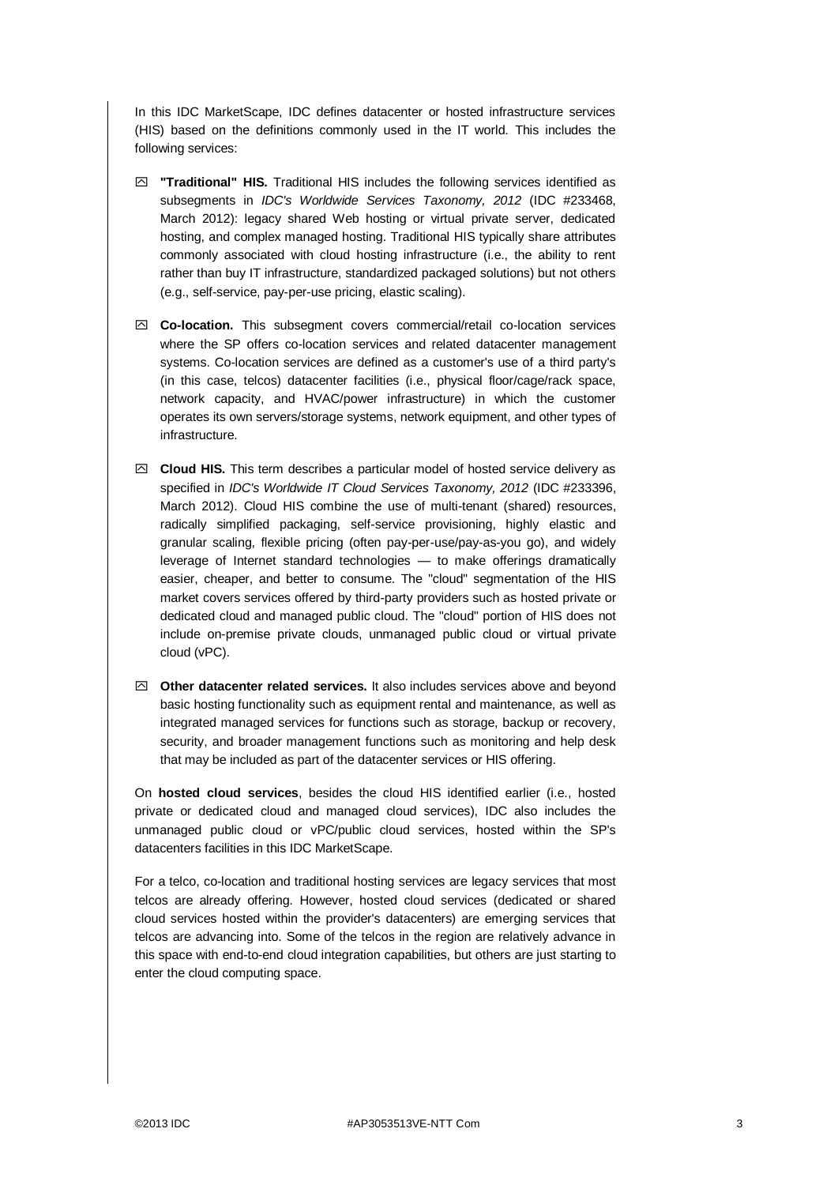In this IDC MarketScape, IDC defines datacenter or hosted infrastructure services (HIS) based on the definitions commonly used in the IT world. This includes the following services:

- **"Traditional" HIS.** Traditional HIS includes the following services identified as subsegments in *IDC's Worldwide Services Taxonomy, 2012* (IDC #233468, March 2012): legacy shared Web hosting or virtual private server, dedicated hosting, and complex managed hosting. Traditional HIS typically share attributes commonly associated with cloud hosting infrastructure (i.e., the ability to rent rather than buy IT infrastructure, standardized packaged solutions) but not others (e.g., self-service, pay-per-use pricing, elastic scaling).
- **Co-location.** This subsegment covers commercial/retail co-location services where the SP offers co-location services and related datacenter management systems. Co-location services are defined as a customer's use of a third party's (in this case, telcos) datacenter facilities (i.e., physical floor/cage/rack space, network capacity, and HVAC/power infrastructure) in which the customer operates its own servers/storage systems, network equipment, and other types of infrastructure.
- **Cloud HIS.** This term describes a particular model of hosted service delivery as specified in *IDC's Worldwide IT Cloud Services Taxonomy, 2012* (IDC #233396, March 2012). Cloud HIS combine the use of multi-tenant (shared) resources, radically simplified packaging, self-service provisioning, highly elastic and granular scaling, flexible pricing (often pay-per-use/pay-as-you go), and widely leverage of Internet standard technologies — to make offerings dramatically easier, cheaper, and better to consume. The "cloud" segmentation of the HIS market covers services offered by third-party providers such as hosted private or dedicated cloud and managed public cloud. The "cloud" portion of HIS does not include on-premise private clouds, unmanaged public cloud or virtual private cloud (vPC).
- **Other datacenter related services.** It also includes services above and beyond basic hosting functionality such as equipment rental and maintenance, as well as integrated managed services for functions such as storage, backup or recovery, security, and broader management functions such as monitoring and help desk that may be included as part of the datacenter services or HIS offering.

On **hosted cloud services**, besides the cloud HIS identified earlier (i.e., hosted private or dedicated cloud and managed cloud services), IDC also includes the unmanaged public cloud or vPC/public cloud services, hosted within the SP's datacenters facilities in this IDC MarketScape.

For a telco, co-location and traditional hosting services are legacy services that most telcos are already offering. However, hosted cloud services (dedicated or shared cloud services hosted within the provider's datacenters) are emerging services that telcos are advancing into. Some of the telcos in the region are relatively advance in this space with end-to-end cloud integration capabilities, but others are just starting to enter the cloud computing space.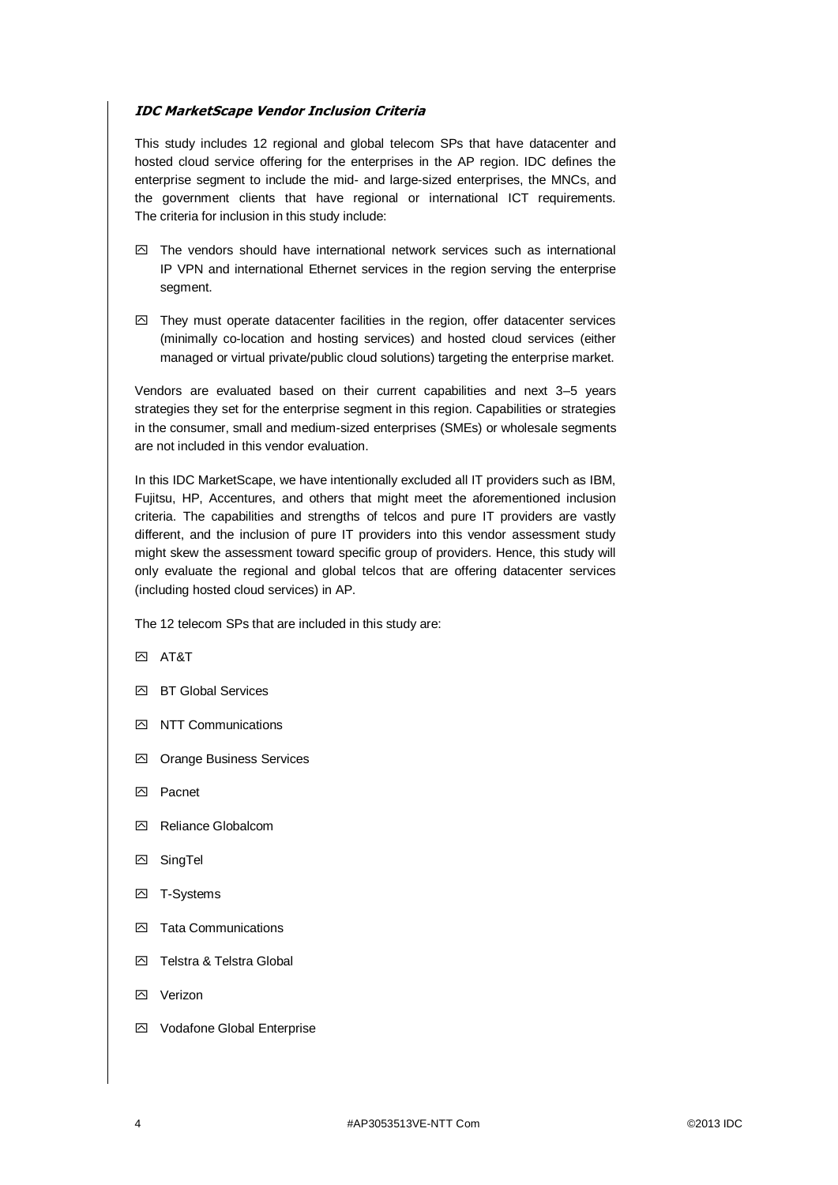### **IDC MarketScape Vendor Inclusion Criteria**

This study includes 12 regional and global telecom SPs that have datacenter and hosted cloud service offering for the enterprises in the AP region. IDC defines the enterprise segment to include the mid- and large-sized enterprises, the MNCs, and the government clients that have regional or international ICT requirements. The criteria for inclusion in this study include:

- $\boxdot$  The vendors should have international network services such as international IP VPN and international Ethernet services in the region serving the enterprise segment.
- $\boxtimes$  They must operate datacenter facilities in the region, offer datacenter services (minimally co-location and hosting services) and hosted cloud services (either managed or virtual private/public cloud solutions) targeting the enterprise market.

Vendors are evaluated based on their current capabilities and next 3–5 years strategies they set for the enterprise segment in this region. Capabilities or strategies in the consumer, small and medium-sized enterprises (SMEs) or wholesale segments are not included in this vendor evaluation.

In this IDC MarketScape, we have intentionally excluded all IT providers such as IBM, Fujitsu, HP, Accentures, and others that might meet the aforementioned inclusion criteria. The capabilities and strengths of telcos and pure IT providers are vastly different, and the inclusion of pure IT providers into this vendor assessment study might skew the assessment toward specific group of providers. Hence, this study will only evaluate the regional and global telcos that are offering datacenter services (including hosted cloud services) in AP.

The 12 telecom SPs that are included in this study are:

**AT&T** 

- **K** BT Global Services
- $\triangleright$  NTT Communications
- Orange Business Services
- **I** Pacnet
- Reliance Globalcom
- SingTel
- **K2** T-Systems
- □ Tata Communications
- **E** Telstra & Telstra Global
- **Kall Verizon**
- Vodafone Global Enterprise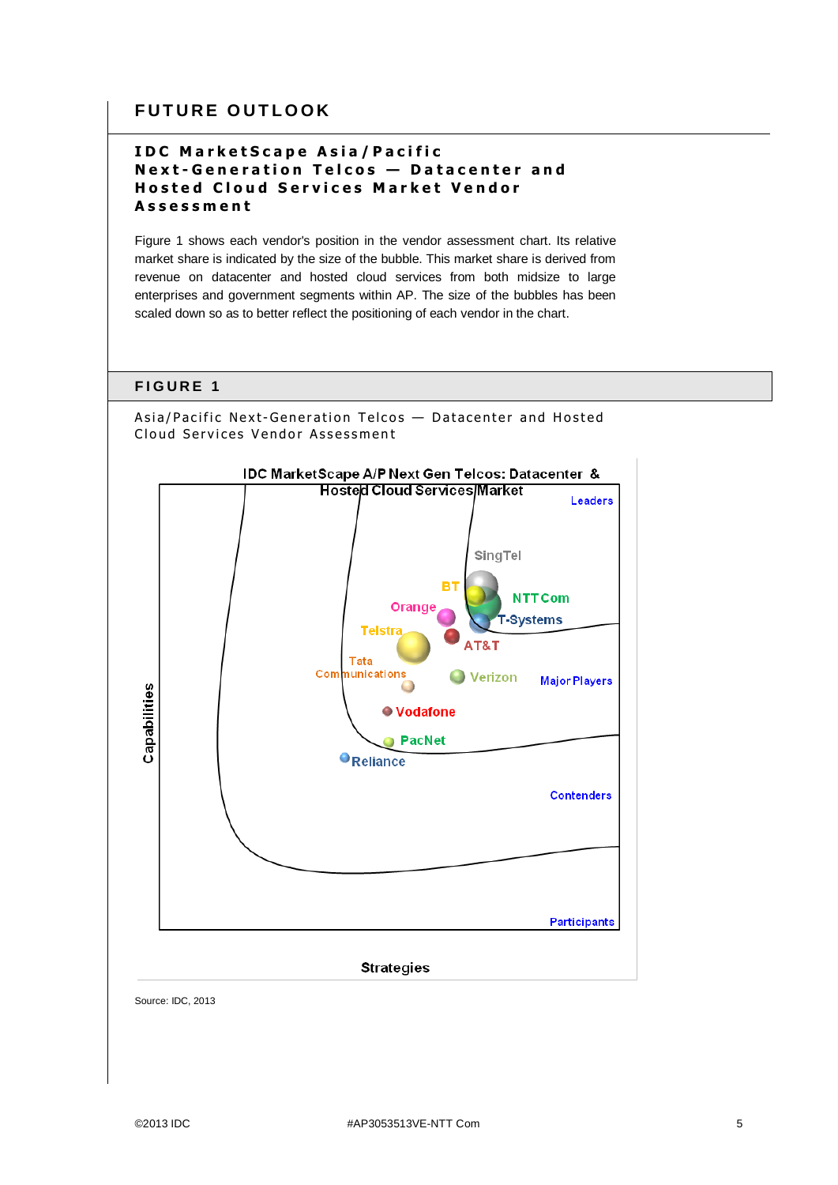## **FUTURE OUTLOOK**

## **IDC MarketScape Asia/Pacific Next-Generation Telcos - Datacenter and Hosted Cloud Services Market Vendor A s s e s s m e n t**

Figure 1 shows each vendor's position in the vendor assessment chart. Its relative market share is indicated by the size of the bubble. This market share is derived from revenue on datacenter and hosted cloud services from both midsize to large enterprises and government segments within AP. The size of the bubbles has been scaled down so as to better reflect the positioning of each vendor in the chart.







#### **Strategies**

Source: IDC, 2013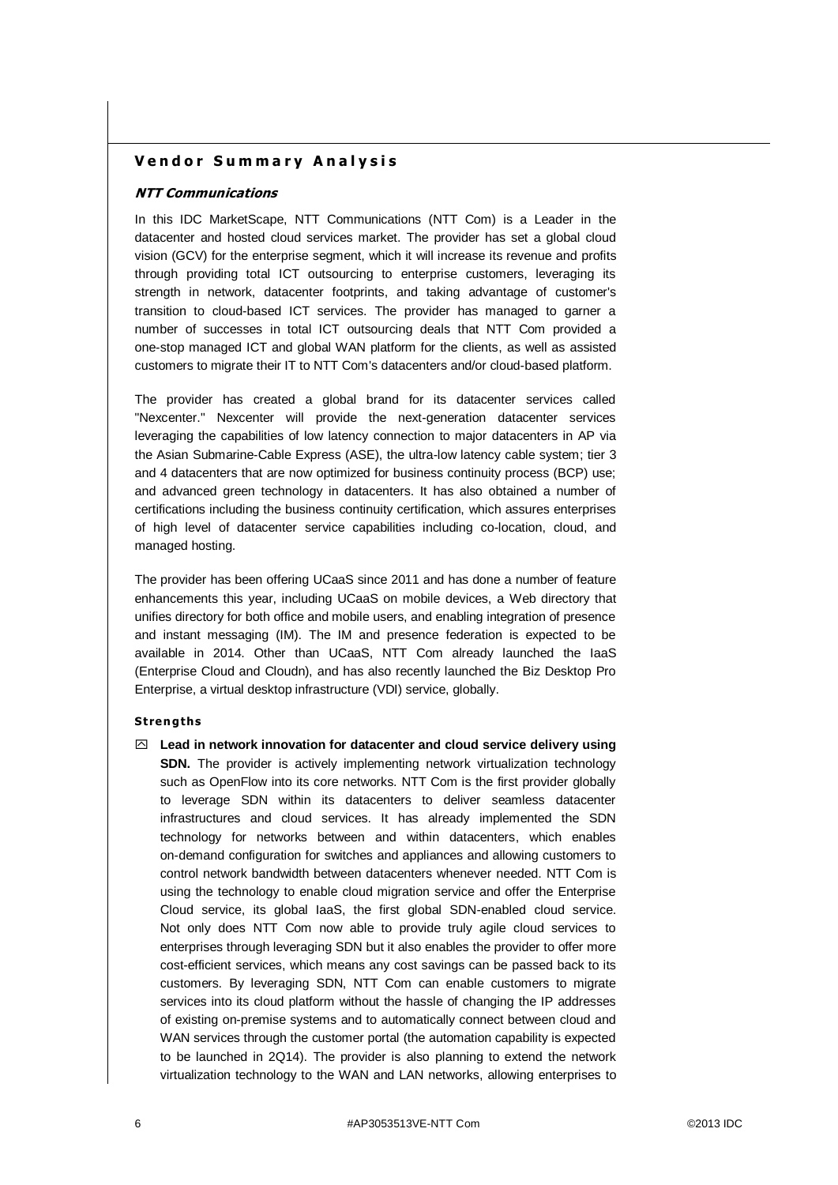### **Vendor Summary Analysis**

#### **NTT Communications**

In this IDC MarketScape, NTT Communications (NTT Com) is a Leader in the datacenter and hosted cloud services market. The provider has set a global cloud vision (GCV) for the enterprise segment, which it will increase its revenue and profits through providing total ICT outsourcing to enterprise customers, leveraging its strength in network, datacenter footprints, and taking advantage of customer's transition to cloud-based ICT services. The provider has managed to garner a number of successes in total ICT outsourcing deals that NTT Com provided a one-stop managed ICT and global WAN platform for the clients, as well as assisted customers to migrate their IT to NTT Com's datacenters and/or cloud-based platform.

The provider has created a global brand for its datacenter services called "Nexcenter." Nexcenter will provide the next-generation datacenter services leveraging the capabilities of low latency connection to major datacenters in AP via the Asian Submarine-Cable Express (ASE), the ultra-low latency cable system; tier 3 and 4 datacenters that are now optimized for business continuity process (BCP) use; and advanced green technology in datacenters. It has also obtained a number of certifications including the business continuity certification, which assures enterprises of high level of datacenter service capabilities including co-location, cloud, and managed hosting.

The provider has been offering UCaaS since 2011 and has done a number of feature enhancements this year, including UCaaS on mobile devices, a Web directory that unifies directory for both office and mobile users, and enabling integration of presence and instant messaging (IM). The IM and presence federation is expected to be available in 2014. Other than UCaaS, NTT Com already launched the IaaS (Enterprise Cloud and Cloudn), and has also recently launched the Biz Desktop Pro Enterprise, a virtual desktop infrastructure (VDI) service, globally.

#### **Stren gths**

 **Lead in network innovation for datacenter and cloud service delivery using SDN.** The provider is actively implementing network virtualization technology such as OpenFlow into its core networks. NTT Com is the first provider globally to leverage SDN within its datacenters to deliver seamless datacenter infrastructures and cloud services. It has already implemented the SDN technology for networks between and within datacenters, which enables on-demand configuration for switches and appliances and allowing customers to control network bandwidth between datacenters whenever needed. NTT Com is using the technology to enable cloud migration service and offer the Enterprise Cloud service, its global IaaS, the first global SDN-enabled cloud service. Not only does NTT Com now able to provide truly agile cloud services to enterprises through leveraging SDN but it also enables the provider to offer more cost-efficient services, which means any cost savings can be passed back to its customers. By leveraging SDN, NTT Com can enable customers to migrate services into its cloud platform without the hassle of changing the IP addresses of existing on-premise systems and to automatically connect between cloud and WAN services through the customer portal (the automation capability is expected to be launched in 2Q14). The provider is also planning to extend the network virtualization technology to the WAN and LAN networks, allowing enterprises to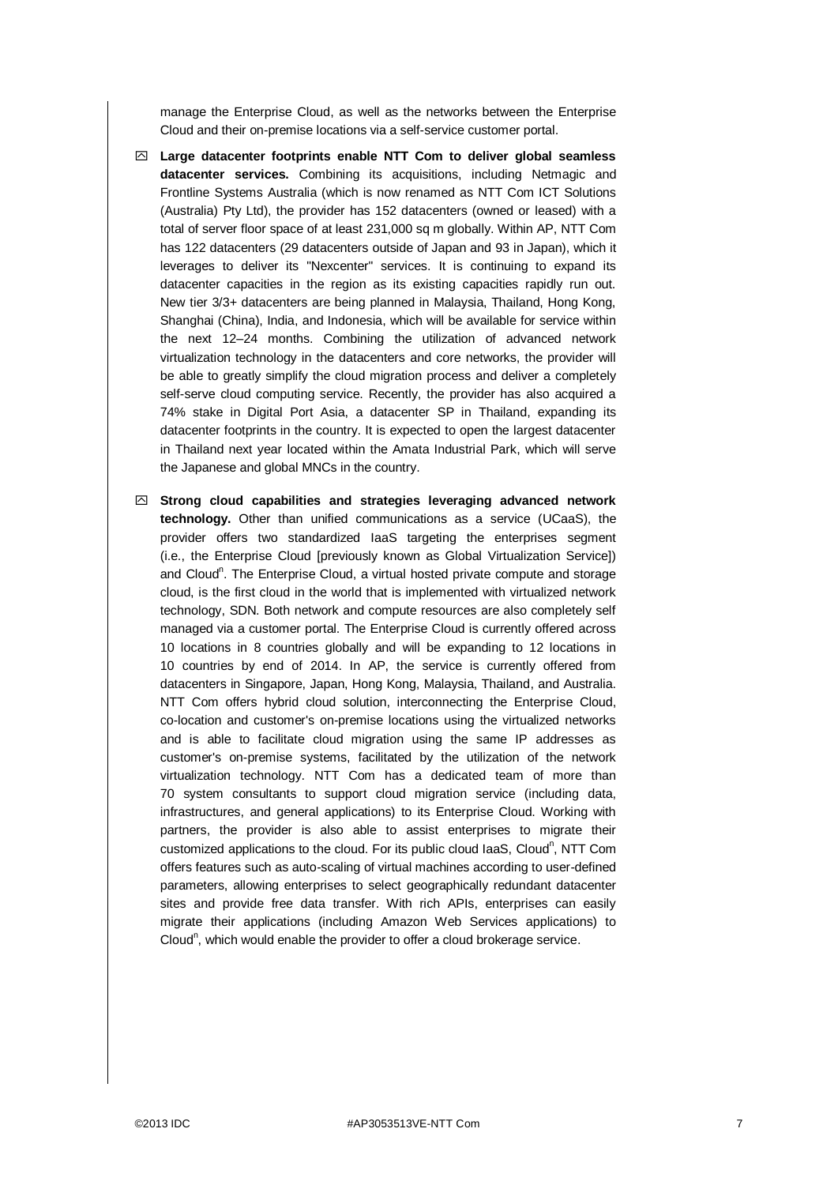manage the Enterprise Cloud, as well as the networks between the Enterprise Cloud and their on-premise locations via a self-service customer portal.

- **Large datacenter footprints enable NTT Com to deliver global seamless datacenter services.** Combining its acquisitions, including Netmagic and Frontline Systems Australia (which is now renamed as NTT Com ICT Solutions (Australia) Pty Ltd), the provider has 152 datacenters (owned or leased) with a total of server floor space of at least 231,000 sq m globally. Within AP, NTT Com has 122 datacenters (29 datacenters outside of Japan and 93 in Japan), which it leverages to deliver its "Nexcenter" services. It is continuing to expand its datacenter capacities in the region as its existing capacities rapidly run out. New tier 3/3+ datacenters are being planned in Malaysia, Thailand, Hong Kong, Shanghai (China), India, and Indonesia, which will be available for service within the next 12–24 months. Combining the utilization of advanced network virtualization technology in the datacenters and core networks, the provider will be able to greatly simplify the cloud migration process and deliver a completely self-serve cloud computing service. Recently, the provider has also acquired a 74% stake in Digital Port Asia, a datacenter SP in Thailand, expanding its datacenter footprints in the country. It is expected to open the largest datacenter in Thailand next year located within the Amata Industrial Park, which will serve the Japanese and global MNCs in the country.
- **Strong cloud capabilities and strategies leveraging advanced network technology.** Other than unified communications as a service (UCaaS), the provider offers two standardized IaaS targeting the enterprises segment (i.e., the Enterprise Cloud [previously known as Global Virtualization Service]) and Cloud<sup>n</sup>. The Enterprise Cloud, a virtual hosted private compute and storage cloud, is the first cloud in the world that is implemented with virtualized network technology, SDN. Both network and compute resources are also completely self managed via a customer portal. The Enterprise Cloud is currently offered across 10 locations in 8 countries globally and will be expanding to 12 locations in 10 countries by end of 2014. In AP, the service is currently offered from datacenters in Singapore, Japan, Hong Kong, Malaysia, Thailand, and Australia. NTT Com offers hybrid cloud solution, interconnecting the Enterprise Cloud, co-location and customer's on-premise locations using the virtualized networks and is able to facilitate cloud migration using the same IP addresses as customer's on-premise systems, facilitated by the utilization of the network virtualization technology. NTT Com has a dedicated team of more than 70 system consultants to support cloud migration service (including data, infrastructures, and general applications) to its Enterprise Cloud. Working with partners, the provider is also able to assist enterprises to migrate their customized applications to the cloud. For its public cloud laaS, Cloud<sup>n</sup>, NTT Com offers features such as auto-scaling of virtual machines according to user-defined parameters, allowing enterprises to select geographically redundant datacenter sites and provide free data transfer. With rich APIs, enterprises can easily migrate their applications (including Amazon Web Services applications) to Cloud<sup>n</sup>, which would enable the provider to offer a cloud brokerage service.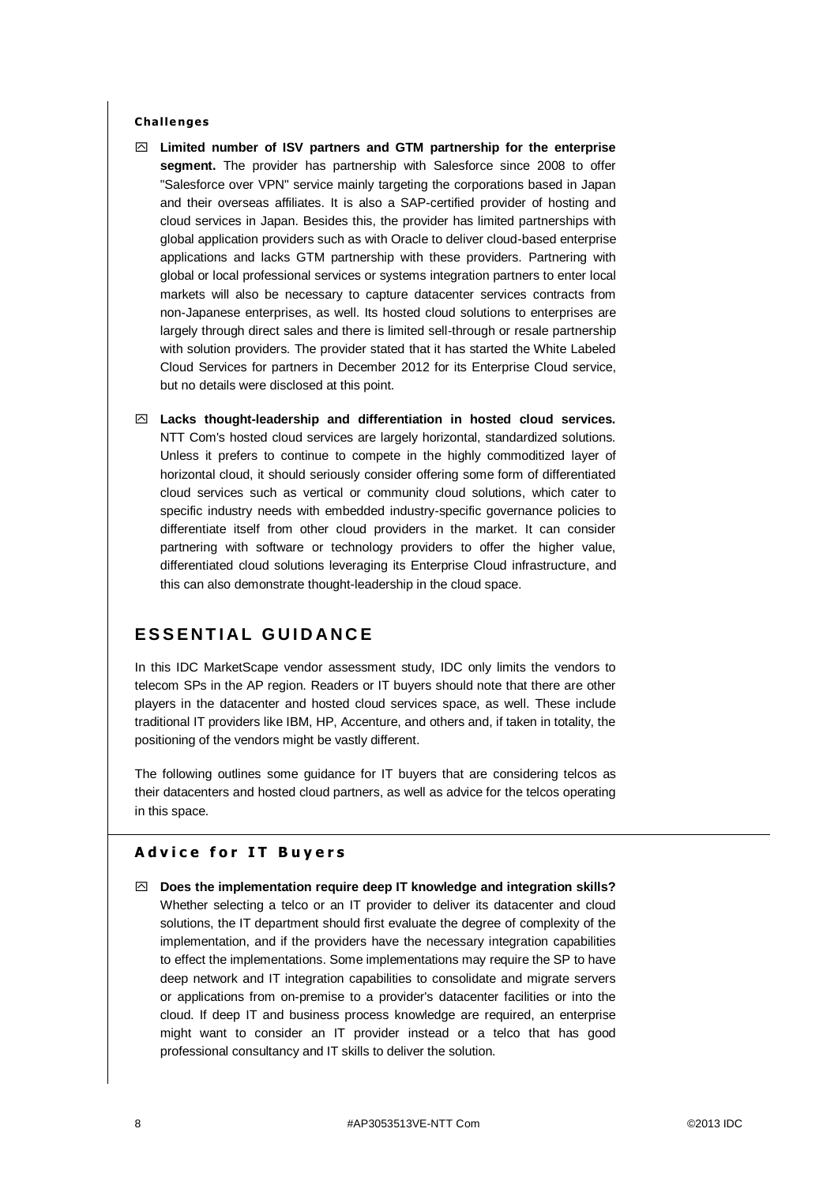#### **Challe nges**

- **Limited number of ISV partners and GTM partnership for the enterprise segment.** The provider has partnership with Salesforce since 2008 to offer "Salesforce over VPN" service mainly targeting the corporations based in Japan and their overseas affiliates. It is also a SAP-certified provider of hosting and cloud services in Japan. Besides this, the provider has limited partnerships with global application providers such as with Oracle to deliver cloud-based enterprise applications and lacks GTM partnership with these providers. Partnering with global or local professional services or systems integration partners to enter local markets will also be necessary to capture datacenter services contracts from non-Japanese enterprises, as well. Its hosted cloud solutions to enterprises are largely through direct sales and there is limited sell-through or resale partnership with solution providers. The provider stated that it has started the White Labeled Cloud Services for partners in December 2012 for its Enterprise Cloud service, but no details were disclosed at this point.
- **Lacks thought-leadership and differentiation in hosted cloud services.** NTT Com's hosted cloud services are largely horizontal, standardized solutions. Unless it prefers to continue to compete in the highly commoditized layer of horizontal cloud, it should seriously consider offering some form of differentiated cloud services such as vertical or community cloud solutions, which cater to specific industry needs with embedded industry-specific governance policies to differentiate itself from other cloud providers in the market. It can consider partnering with software or technology providers to offer the higher value, differentiated cloud solutions leveraging its Enterprise Cloud infrastructure, and this can also demonstrate thought-leadership in the cloud space.

## **E S S E N T I A L G U I D A N C E**

In this IDC MarketScape vendor assessment study, IDC only limits the vendors to telecom SPs in the AP region. Readers or IT buyers should note that there are other players in the datacenter and hosted cloud services space, as well. These include traditional IT providers like IBM, HP, Accenture, and others and, if taken in totality, the positioning of the vendors might be vastly different.

The following outlines some guidance for IT buyers that are considering telcos as their datacenters and hosted cloud partners, as well as advice for the telcos operating in this space.

### **Advice for IT Buyers**

 **Does the implementation require deep IT knowledge and integration skills?** Whether selecting a telco or an IT provider to deliver its datacenter and cloud solutions, the IT department should first evaluate the degree of complexity of the implementation, and if the providers have the necessary integration capabilities to effect the implementations. Some implementations may require the SP to have deep network and IT integration capabilities to consolidate and migrate servers or applications from on-premise to a provider's datacenter facilities or into the cloud. If deep IT and business process knowledge are required, an enterprise might want to consider an IT provider instead or a telco that has good professional consultancy and IT skills to deliver the solution.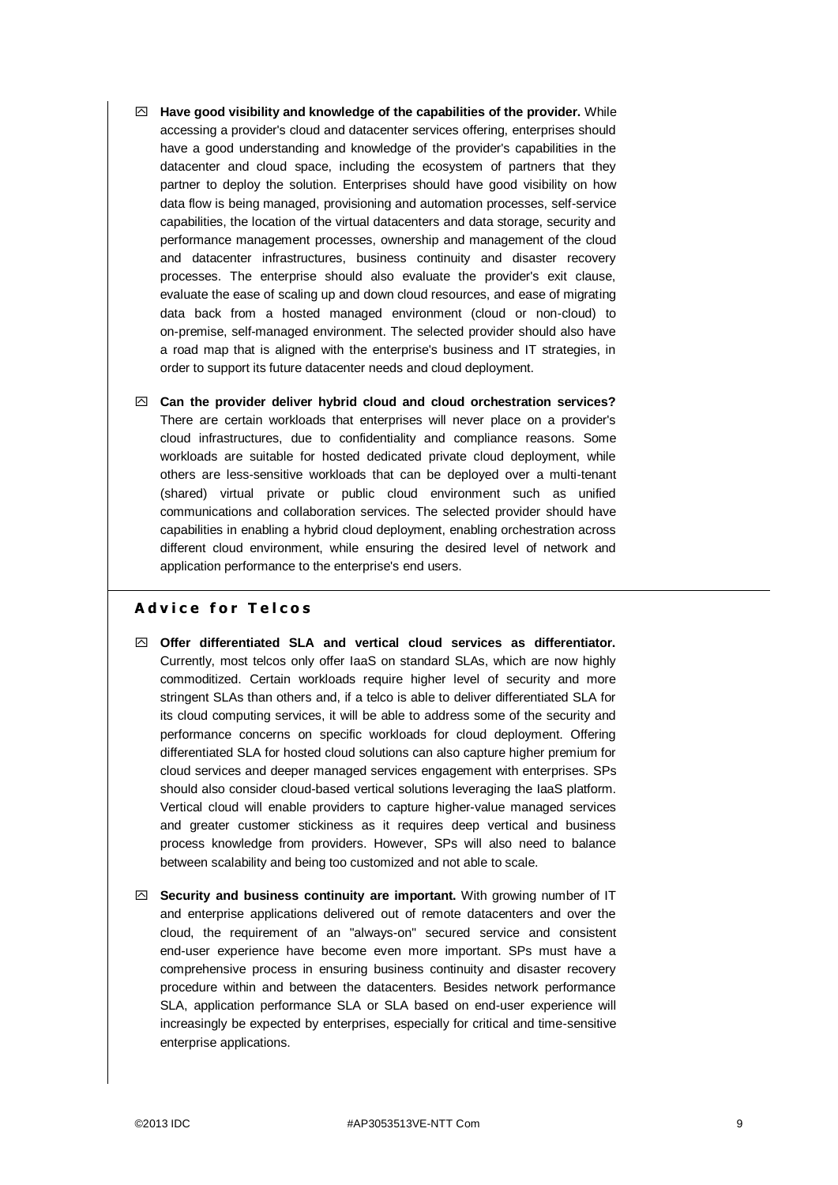- **Have good visibility and knowledge of the capabilities of the provider.** While accessing a provider's cloud and datacenter services offering, enterprises should have a good understanding and knowledge of the provider's capabilities in the datacenter and cloud space, including the ecosystem of partners that they partner to deploy the solution. Enterprises should have good visibility on how data flow is being managed, provisioning and automation processes, self-service capabilities, the location of the virtual datacenters and data storage, security and performance management processes, ownership and management of the cloud and datacenter infrastructures, business continuity and disaster recovery processes. The enterprise should also evaluate the provider's exit clause, evaluate the ease of scaling up and down cloud resources, and ease of migrating data back from a hosted managed environment (cloud or non-cloud) to on-premise, self-managed environment. The selected provider should also have a road map that is aligned with the enterprise's business and IT strategies, in order to support its future datacenter needs and cloud deployment.
- **Can the provider deliver hybrid cloud and cloud orchestration services?** There are certain workloads that enterprises will never place on a provider's cloud infrastructures, due to confidentiality and compliance reasons. Some workloads are suitable for hosted dedicated private cloud deployment, while others are less-sensitive workloads that can be deployed over a multi-tenant (shared) virtual private or public cloud environment such as unified communications and collaboration services. The selected provider should have capabilities in enabling a hybrid cloud deployment, enabling orchestration across different cloud environment, while ensuring the desired level of network and application performance to the enterprise's end users.

### **A d v i c e f o r T e l c o s**

- **Offer differentiated SLA and vertical cloud services as differentiator.** Currently, most telcos only offer IaaS on standard SLAs, which are now highly commoditized. Certain workloads require higher level of security and more stringent SLAs than others and, if a telco is able to deliver differentiated SLA for its cloud computing services, it will be able to address some of the security and performance concerns on specific workloads for cloud deployment. Offering differentiated SLA for hosted cloud solutions can also capture higher premium for cloud services and deeper managed services engagement with enterprises. SPs should also consider cloud-based vertical solutions leveraging the IaaS platform. Vertical cloud will enable providers to capture higher-value managed services and greater customer stickiness as it requires deep vertical and business process knowledge from providers. However, SPs will also need to balance between scalability and being too customized and not able to scale.
- **Security and business continuity are important.** With growing number of IT and enterprise applications delivered out of remote datacenters and over the cloud, the requirement of an "always-on" secured service and consistent end-user experience have become even more important. SPs must have a comprehensive process in ensuring business continuity and disaster recovery procedure within and between the datacenters. Besides network performance SLA, application performance SLA or SLA based on end-user experience will increasingly be expected by enterprises, especially for critical and time-sensitive enterprise applications.